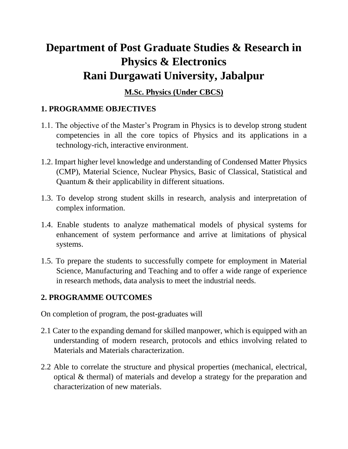# **Department of Post Graduate Studies & Research in Physics & Electronics Rani Durgawati University, Jabalpur**

## **M.Sc. Physics (Under CBCS)**

# **1. PROGRAMME OBJECTIVES**

- 1.1. The objective of the Master's Program in Physics is to develop strong student competencies in all the core topics of Physics and its applications in a technology-rich, interactive environment.
- 1.2. Impart higher level knowledge and understanding of Condensed Matter Physics (CMP), Material Science, Nuclear Physics, Basic of Classical, Statistical and Quantum & their applicability in different situations.
- 1.3. To develop strong student skills in research, analysis and interpretation of complex information.
- 1.4. Enable students to analyze mathematical models of physical systems for enhancement of system performance and arrive at limitations of physical systems.
- 1.5. To prepare the students to successfully compete for employment in Material Science, Manufacturing and Teaching and to offer a wide range of experience in research methods, data analysis to meet the industrial needs.

## **2. PROGRAMME OUTCOMES**

On completion of program, the post-graduates will

- 2.1 Cater to the expanding demand for skilled manpower, which is equipped with an understanding of modern research, protocols and ethics involving related to Materials and Materials characterization.
- 2.2 Able to correlate the structure and physical properties (mechanical, electrical, optical & thermal) of materials and develop a strategy for the preparation and characterization of new materials.